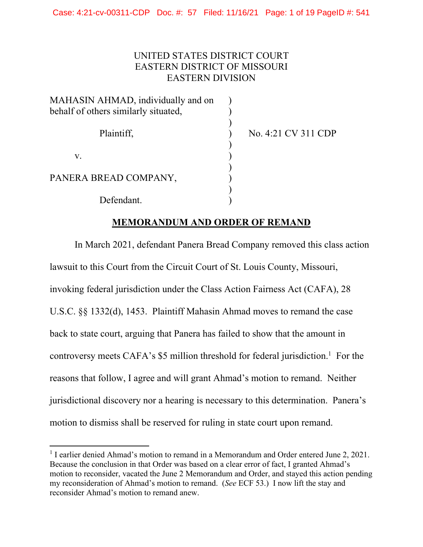# UNITED STATES DISTRICT COURT EASTERN DISTRICT OF MISSOURI EASTERN DIVISION

| MAHASIN AHMAD, individually and on   |  |
|--------------------------------------|--|
| behalf of others similarly situated, |  |
|                                      |  |
| Plaintiff,                           |  |
|                                      |  |
| V.                                   |  |
| PANERA BREAD COMPANY,                |  |
|                                      |  |
|                                      |  |
| Defendant.                           |  |

No. 4:21 CV 311 CDP

# **MEMORANDUM AND ORDER OF REMAND**

In March 2021, defendant Panera Bread Company removed this class action lawsuit to this Court from the Circuit Court of St. Louis County, Missouri, invoking federal jurisdiction under the Class Action Fairness Act (CAFA), 28 U.S.C. §§ 1332(d), 1453. Plaintiff Mahasin Ahmad moves to remand the case back to state court, arguing that Panera has failed to show that the amount in controversy meets CAFA's  $$5$  million threshold for federal jurisdiction.<sup>1</sup> For the reasons that follow, I agree and will grant Ahmad's motion to remand. Neither jurisdictional discovery nor a hearing is necessary to this determination. Panera's motion to dismiss shall be reserved for ruling in state court upon remand.

<sup>&</sup>lt;sup>1</sup> I earlier denied Ahmad's motion to remand in a Memorandum and Order entered June 2, 2021. Because the conclusion in that Order was based on a clear error of fact, I granted Ahmad's motion to reconsider, vacated the June 2 Memorandum and Order, and stayed this action pending my reconsideration of Ahmad's motion to remand. (*See* ECF 53.) I now lift the stay and reconsider Ahmad's motion to remand anew.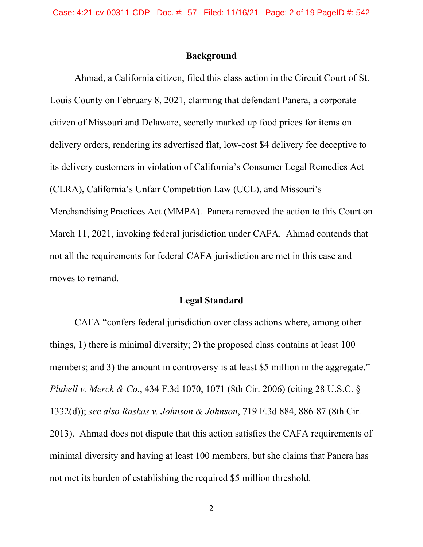## **Background**

Ahmad, a California citizen, filed this class action in the Circuit Court of St. Louis County on February 8, 2021, claiming that defendant Panera, a corporate citizen of Missouri and Delaware, secretly marked up food prices for items on delivery orders, rendering its advertised flat, low-cost \$4 delivery fee deceptive to its delivery customers in violation of California's Consumer Legal Remedies Act (CLRA), California's Unfair Competition Law (UCL), and Missouri's Merchandising Practices Act (MMPA). Panera removed the action to this Court on March 11, 2021, invoking federal jurisdiction under CAFA. Ahmad contends that not all the requirements for federal CAFA jurisdiction are met in this case and moves to remand.

#### **Legal Standard**

CAFA "confers federal jurisdiction over class actions where, among other things, 1) there is minimal diversity; 2) the proposed class contains at least 100 members; and 3) the amount in controversy is at least \$5 million in the aggregate." *Plubell v. Merck & Co.*, 434 F.3d 1070, 1071 (8th Cir. 2006) (citing 28 U.S.C. § 1332(d)); *see also Raskas v. Johnson & Johnson*, 719 F.3d 884, 886-87 (8th Cir. 2013). Ahmad does not dispute that this action satisfies the CAFA requirements of minimal diversity and having at least 100 members, but she claims that Panera has not met its burden of establishing the required \$5 million threshold.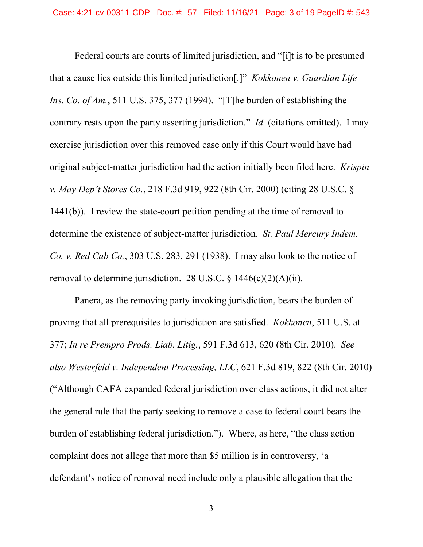Federal courts are courts of limited jurisdiction, and "[i]t is to be presumed that a cause lies outside this limited jurisdiction[.]" *Kokkonen v. Guardian Life Ins. Co. of Am.*, 511 U.S. 375, 377 (1994). "[T]he burden of establishing the contrary rests upon the party asserting jurisdiction." *Id.* (citations omitted). I may exercise jurisdiction over this removed case only if this Court would have had original subject-matter jurisdiction had the action initially been filed here. *Krispin v. May Dep't Stores Co.*, 218 F.3d 919, 922 (8th Cir. 2000) (citing 28 U.S.C. § 1441(b)). I review the state-court petition pending at the time of removal to determine the existence of subject-matter jurisdiction. *St. Paul Mercury Indem. Co. v. Red Cab Co.*, 303 U.S. 283, 291 (1938). I may also look to the notice of removal to determine jurisdiction. 28 U.S.C.  $\frac{1446(c)(2)(A)(ii)}{i}$ .

 Panera, as the removing party invoking jurisdiction, bears the burden of proving that all prerequisites to jurisdiction are satisfied. *Kokkonen*, 511 U.S. at 377; *In re Prempro Prods. Liab. Litig.*, 591 F.3d 613, 620 (8th Cir. 2010). *See also Westerfeld v. Independent Processing, LLC*, 621 F.3d 819, 822 (8th Cir. 2010) ("Although CAFA expanded federal jurisdiction over class actions, it did not alter the general rule that the party seeking to remove a case to federal court bears the burden of establishing federal jurisdiction."). Where, as here, "the class action complaint does not allege that more than \$5 million is in controversy, 'a defendant's notice of removal need include only a plausible allegation that the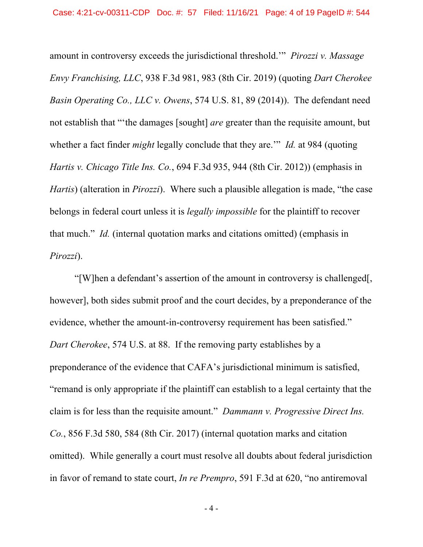amount in controversy exceeds the jurisdictional threshold.'" *Pirozzi v. Massage Envy Franchising, LLC*, 938 F.3d 981, 983 (8th Cir. 2019) (quoting *Dart Cherokee Basin Operating Co., LLC v. Owens*, 574 U.S. 81, 89 (2014)). The defendant need not establish that "'the damages [sought] *are* greater than the requisite amount, but whether a fact finder *might* legally conclude that they are.'" *Id.* at 984 (quoting *Hartis v. Chicago Title Ins. Co.*, 694 F.3d 935, 944 (8th Cir. 2012)) (emphasis in *Hartis*) (alteration in *Pirozzi*). Where such a plausible allegation is made, "the case belongs in federal court unless it is *legally impossible* for the plaintiff to recover that much." *Id.* (internal quotation marks and citations omitted) (emphasis in *Pirozzi*).

"[W]hen a defendant's assertion of the amount in controversy is challenged[, however], both sides submit proof and the court decides, by a preponderance of the evidence, whether the amount-in-controversy requirement has been satisfied." *Dart Cherokee*, 574 U.S. at 88. If the removing party establishes by a preponderance of the evidence that CAFA's jurisdictional minimum is satisfied, "remand is only appropriate if the plaintiff can establish to a legal certainty that the claim is for less than the requisite amount." *Dammann v. Progressive Direct Ins. Co.*, 856 F.3d 580, 584 (8th Cir. 2017) (internal quotation marks and citation omitted). While generally a court must resolve all doubts about federal jurisdiction in favor of remand to state court, *In re Prempro*, 591 F.3d at 620, "no antiremoval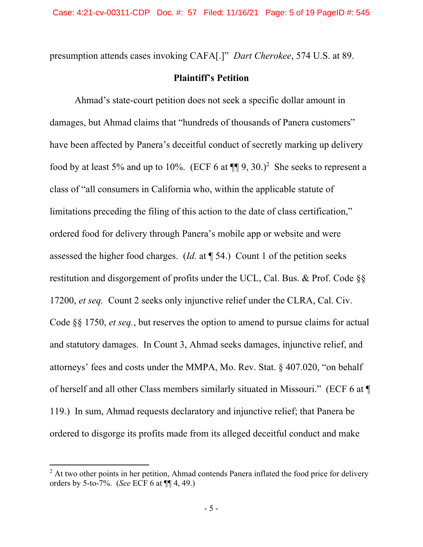presumption attends cases invoking CAFA[.]" *Dart Cherokee*, 574 U.S. at 89.

## **Plaintiff's Petition**

Ahmad's state-court petition does not seek a specific dollar amount in damages, but Ahmad claims that "hundreds of thousands of Panera customers" have been affected by Panera's deceitful conduct of secretly marking up delivery food by at least 5% and up to 10%. (ECF 6 at  $\P\P$  9, 30.)<sup>2</sup> She seeks to represent a class of "all consumers in California who, within the applicable statute of limitations preceding the filing of this action to the date of class certification," ordered food for delivery through Panera's mobile app or website and were assessed the higher food charges. (*Id.* at ¶ 54.) Count 1 of the petition seeks restitution and disgorgement of profits under the UCL, Cal. Bus. & Prof. Code §§ 17200, *et seq.* Count 2 seeks only injunctive relief under the CLRA, Cal. Civ. Code §§ 1750, *et seq.*, but reserves the option to amend to pursue claims for actual and statutory damages. In Count 3, Ahmad seeks damages, injunctive relief, and attorneys' fees and costs under the MMPA, Mo. Rev. Stat. § 407.020, "on behalf of herself and all other Class members similarly situated in Missouri." (ECF 6 at ¶ 119.) In sum, Ahmad requests declaratory and injunctive relief; that Panera be ordered to disgorge its profits made from its alleged deceitful conduct and make

 $2$  At two other points in her petition, Ahmad contends Panera inflated the food price for delivery orders by 5-to-7%. (*See* ECF 6 at ¶¶ 4, 49.)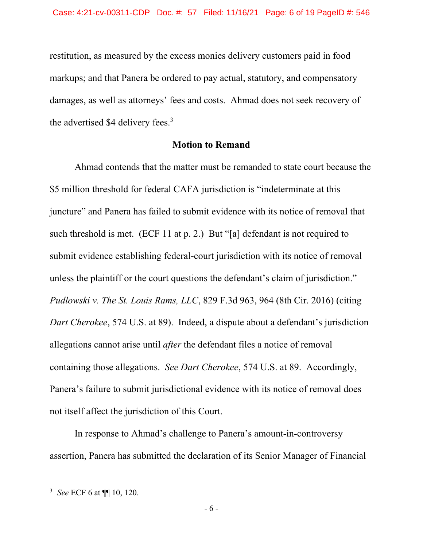restitution, as measured by the excess monies delivery customers paid in food markups; and that Panera be ordered to pay actual, statutory, and compensatory damages, as well as attorneys' fees and costs. Ahmad does not seek recovery of the advertised \$4 delivery fees. $3$ 

## **Motion to Remand**

 Ahmad contends that the matter must be remanded to state court because the \$5 million threshold for federal CAFA jurisdiction is "indeterminate at this juncture" and Panera has failed to submit evidence with its notice of removal that such threshold is met. (ECF 11 at p. 2.) But "[a] defendant is not required to submit evidence establishing federal-court jurisdiction with its notice of removal unless the plaintiff or the court questions the defendant's claim of jurisdiction." *Pudlowski v. The St. Louis Rams, LLC*, 829 F.3d 963, 964 (8th Cir. 2016) (citing *Dart Cherokee*, 574 U.S. at 89). Indeed, a dispute about a defendant's jurisdiction allegations cannot arise until *after* the defendant files a notice of removal containing those allegations. *See Dart Cherokee*, 574 U.S. at 89. Accordingly, Panera's failure to submit jurisdictional evidence with its notice of removal does not itself affect the jurisdiction of this Court.

 In response to Ahmad's challenge to Panera's amount-in-controversy assertion, Panera has submitted the declaration of its Senior Manager of Financial

<sup>3</sup> *See* ECF 6 at ¶¶ 10, 120.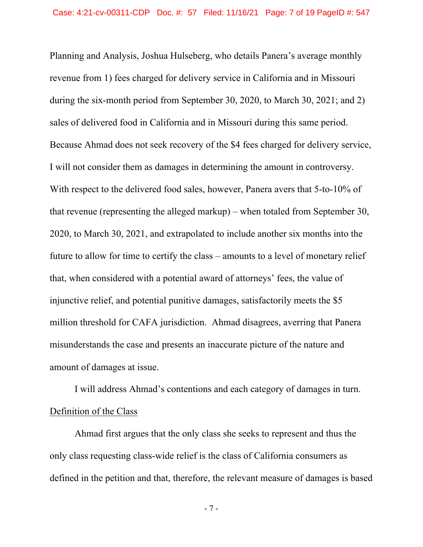Planning and Analysis, Joshua Hulseberg, who details Panera's average monthly revenue from 1) fees charged for delivery service in California and in Missouri during the six-month period from September 30, 2020, to March 30, 2021; and 2) sales of delivered food in California and in Missouri during this same period. Because Ahmad does not seek recovery of the \$4 fees charged for delivery service, I will not consider them as damages in determining the amount in controversy. With respect to the delivered food sales, however, Panera avers that 5-to-10% of that revenue (representing the alleged markup) – when totaled from September 30, 2020, to March 30, 2021, and extrapolated to include another six months into the future to allow for time to certify the class – amounts to a level of monetary relief that, when considered with a potential award of attorneys' fees, the value of injunctive relief, and potential punitive damages, satisfactorily meets the \$5 million threshold for CAFA jurisdiction. Ahmad disagrees, averring that Panera misunderstands the case and presents an inaccurate picture of the nature and amount of damages at issue.

I will address Ahmad's contentions and each category of damages in turn. Definition of the Class

Ahmad first argues that the only class she seeks to represent and thus the only class requesting class-wide relief is the class of California consumers as defined in the petition and that, therefore, the relevant measure of damages is based

- 7 -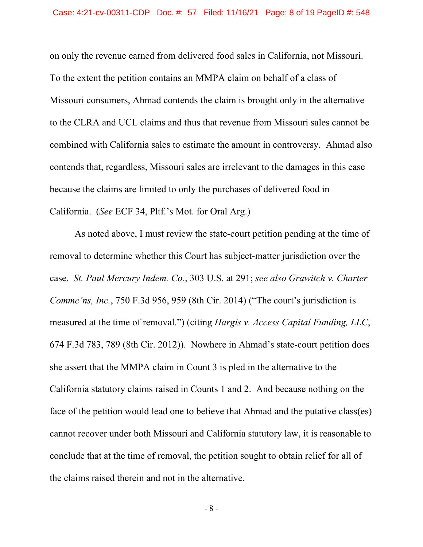on only the revenue earned from delivered food sales in California, not Missouri. To the extent the petition contains an MMPA claim on behalf of a class of Missouri consumers, Ahmad contends the claim is brought only in the alternative to the CLRA and UCL claims and thus that revenue from Missouri sales cannot be combined with California sales to estimate the amount in controversy. Ahmad also contends that, regardless, Missouri sales are irrelevant to the damages in this case because the claims are limited to only the purchases of delivered food in California. (*See* ECF 34, Pltf.'s Mot. for Oral Arg.)

 As noted above, I must review the state-court petition pending at the time of removal to determine whether this Court has subject-matter jurisdiction over the case. *St. Paul Mercury Indem. Co.*, 303 U.S. at 291; *see also Grawitch v. Charter Commc'ns, Inc.*, 750 F.3d 956, 959 (8th Cir. 2014) ("The court's jurisdiction is measured at the time of removal.") (citing *Hargis v. Access Capital Funding, LLC*, 674 F.3d 783, 789 (8th Cir. 2012)). Nowhere in Ahmad's state-court petition does she assert that the MMPA claim in Count 3 is pled in the alternative to the California statutory claims raised in Counts 1 and 2. And because nothing on the face of the petition would lead one to believe that Ahmad and the putative class(es) cannot recover under both Missouri and California statutory law, it is reasonable to conclude that at the time of removal, the petition sought to obtain relief for all of the claims raised therein and not in the alternative.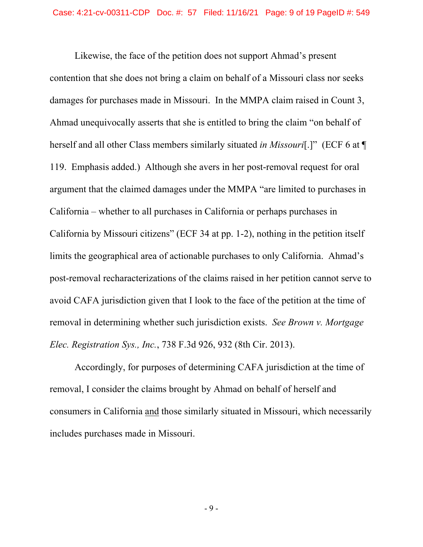Likewise, the face of the petition does not support Ahmad's present contention that she does not bring a claim on behalf of a Missouri class nor seeks damages for purchases made in Missouri. In the MMPA claim raised in Count 3, Ahmad unequivocally asserts that she is entitled to bring the claim "on behalf of herself and all other Class members similarly situated *in Missouri*[.]" (ECF 6 at ¶ 119. Emphasis added.) Although she avers in her post-removal request for oral argument that the claimed damages under the MMPA "are limited to purchases in California – whether to all purchases in California or perhaps purchases in California by Missouri citizens" (ECF 34 at pp. 1-2), nothing in the petition itself limits the geographical area of actionable purchases to only California. Ahmad's post-removal recharacterizations of the claims raised in her petition cannot serve to avoid CAFA jurisdiction given that I look to the face of the petition at the time of removal in determining whether such jurisdiction exists. *See Brown v. Mortgage Elec. Registration Sys., Inc.*, 738 F.3d 926, 932 (8th Cir. 2013).

 Accordingly, for purposes of determining CAFA jurisdiction at the time of removal, I consider the claims brought by Ahmad on behalf of herself and consumers in California and those similarly situated in Missouri, which necessarily includes purchases made in Missouri.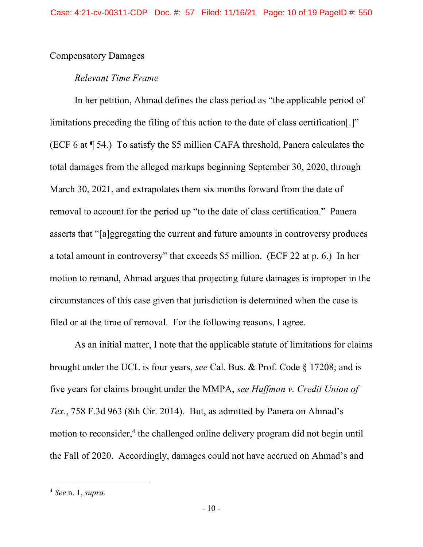## Compensatory Damages

# *Relevant Time Frame*

 In her petition, Ahmad defines the class period as "the applicable period of limitations preceding the filing of this action to the date of class certification[.]" (ECF 6 at ¶ 54.) To satisfy the \$5 million CAFA threshold, Panera calculates the total damages from the alleged markups beginning September 30, 2020, through March 30, 2021, and extrapolates them six months forward from the date of removal to account for the period up "to the date of class certification." Panera asserts that "[a]ggregating the current and future amounts in controversy produces a total amount in controversy" that exceeds \$5 million. (ECF 22 at p. 6.) In her motion to remand, Ahmad argues that projecting future damages is improper in the circumstances of this case given that jurisdiction is determined when the case is filed or at the time of removal. For the following reasons, I agree.

 As an initial matter, I note that the applicable statute of limitations for claims brought under the UCL is four years, *see* Cal. Bus. & Prof. Code § 17208; and is five years for claims brought under the MMPA, *see Huffman v. Credit Union of Tex.*, 758 F.3d 963 (8th Cir. 2014). But, as admitted by Panera on Ahmad's motion to reconsider,<sup>4</sup> the challenged online delivery program did not begin until the Fall of 2020. Accordingly, damages could not have accrued on Ahmad's and

<sup>4</sup> *See* n. 1, *supra.*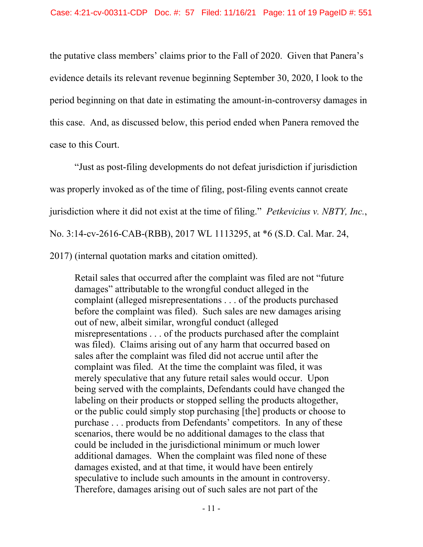the putative class members' claims prior to the Fall of 2020. Given that Panera's evidence details its relevant revenue beginning September 30, 2020, I look to the period beginning on that date in estimating the amount-in-controversy damages in this case. And, as discussed below, this period ended when Panera removed the case to this Court.

"Just as post-filing developments do not defeat jurisdiction if jurisdiction was properly invoked as of the time of filing, post-filing events cannot create jurisdiction where it did not exist at the time of filing." *Petkevicius v. NBTY, Inc.*, No. 3:14-cv-2616-CAB-(RBB), 2017 WL 1113295, at \*6 (S.D. Cal. Mar. 24, 2017) (internal quotation marks and citation omitted).

Retail sales that occurred after the complaint was filed are not "future damages" attributable to the wrongful conduct alleged in the complaint (alleged misrepresentations . . . of the products purchased before the complaint was filed). Such sales are new damages arising out of new, albeit similar, wrongful conduct (alleged misrepresentations . . . of the products purchased after the complaint was filed). Claims arising out of any harm that occurred based on sales after the complaint was filed did not accrue until after the complaint was filed. At the time the complaint was filed, it was merely speculative that any future retail sales would occur. Upon being served with the complaints, Defendants could have changed the labeling on their products or stopped selling the products altogether, or the public could simply stop purchasing [the] products or choose to purchase . . . products from Defendants' competitors. In any of these scenarios, there would be no additional damages to the class that could be included in the jurisdictional minimum or much lower additional damages. When the complaint was filed none of these damages existed, and at that time, it would have been entirely speculative to include such amounts in the amount in controversy. Therefore, damages arising out of such sales are not part of the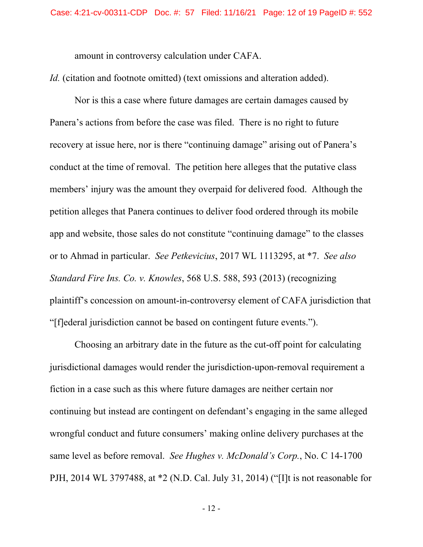amount in controversy calculation under CAFA.

*Id.* (citation and footnote omitted) (text omissions and alteration added).

 Nor is this a case where future damages are certain damages caused by Panera's actions from before the case was filed. There is no right to future recovery at issue here, nor is there "continuing damage" arising out of Panera's conduct at the time of removal. The petition here alleges that the putative class members' injury was the amount they overpaid for delivered food. Although the petition alleges that Panera continues to deliver food ordered through its mobile app and website, those sales do not constitute "continuing damage" to the classes or to Ahmad in particular. *See Petkevicius*, 2017 WL 1113295, at \*7. *See also Standard Fire Ins. Co. v. Knowles*, 568 U.S. 588, 593 (2013) (recognizing plaintiff's concession on amount-in-controversy element of CAFA jurisdiction that "[f]ederal jurisdiction cannot be based on contingent future events.").

 Choosing an arbitrary date in the future as the cut-off point for calculating jurisdictional damages would render the jurisdiction-upon-removal requirement a fiction in a case such as this where future damages are neither certain nor continuing but instead are contingent on defendant's engaging in the same alleged wrongful conduct and future consumers' making online delivery purchases at the same level as before removal. *See Hughes v. McDonald's Corp.*, No. C 14-1700 PJH, 2014 WL 3797488, at \*2 (N.D. Cal. July 31, 2014) ("[I]t is not reasonable for

- 12 -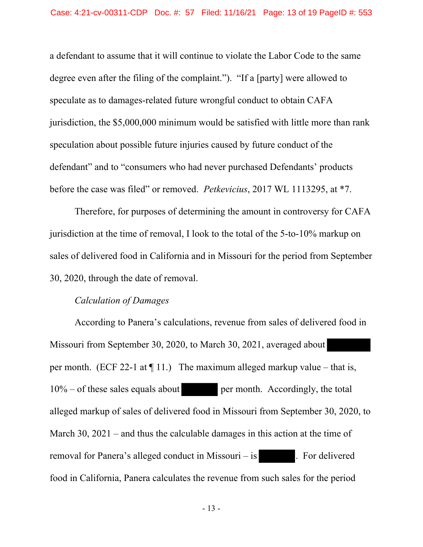a defendant to assume that it will continue to violate the Labor Code to the same degree even after the filing of the complaint."). "If a [party] were allowed to speculate as to damages-related future wrongful conduct to obtain CAFA jurisdiction, the \$5,000,000 minimum would be satisfied with little more than rank speculation about possible future injuries caused by future conduct of the defendant" and to "consumers who had never purchased Defendants' products before the case was filed" or removed. *Petkevicius*, 2017 WL 1113295, at \*7.

 Therefore, for purposes of determining the amount in controversy for CAFA jurisdiction at the time of removal, I look to the total of the 5-to-10% markup on sales of delivered food in California and in Missouri for the period from September 30, 2020, through the date of removal.

## *Calculation of Damages*

 According to Panera's calculations, revenue from sales of delivered food in Missouri from September 30, 2020, to March 30, 2021, averaged about per month. (ECF 22-1 at  $\P$  11.) The maximum alleged markup value – that is,  $10\%$  – of these sales equals about per month. Accordingly, the total alleged markup of sales of delivered food in Missouri from September 30, 2020, to March 30, 2021 – and thus the calculable damages in this action at the time of removal for Panera's alleged conduct in Missouri – is . For delivered food in California, Panera calculates the revenue from such sales for the period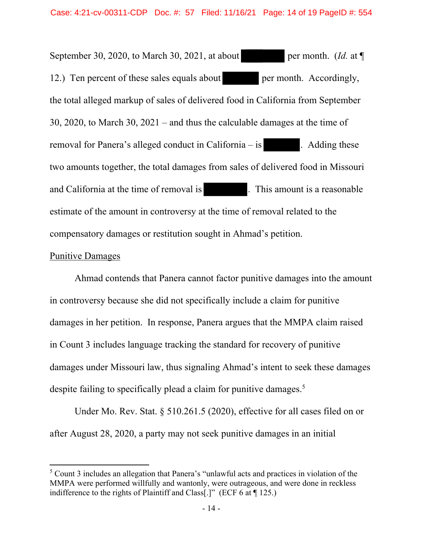September 30, 2020, to March 30, 2021, at about per month. (*Id.* at  $\P$ 12.) Ten percent of these sales equals about per month. Accordingly, the total alleged markup of sales of delivered food in California from September 30, 2020, to March 30, 2021 – and thus the calculable damages at the time of removal for Panera's alleged conduct in California – is . Adding these two amounts together, the total damages from sales of delivered food in Missouri and California at the time of removal is . This amount is a reasonable estimate of the amount in controversy at the time of removal related to the compensatory damages or restitution sought in Ahmad's petition.

# Punitive Damages

 Ahmad contends that Panera cannot factor punitive damages into the amount in controversy because she did not specifically include a claim for punitive damages in her petition. In response, Panera argues that the MMPA claim raised in Count 3 includes language tracking the standard for recovery of punitive damages under Missouri law, thus signaling Ahmad's intent to seek these damages despite failing to specifically plead a claim for punitive damages.<sup>5</sup>

 Under Mo. Rev. Stat. § 510.261.5 (2020), effective for all cases filed on or after August 28, 2020, a party may not seek punitive damages in an initial

<sup>&</sup>lt;sup>5</sup> Count 3 includes an allegation that Panera's "unlawful acts and practices in violation of the MMPA were performed willfully and wantonly, were outrageous, and were done in reckless indifference to the rights of Plaintiff and Class[.]" (ECF 6 at ¶ 125.)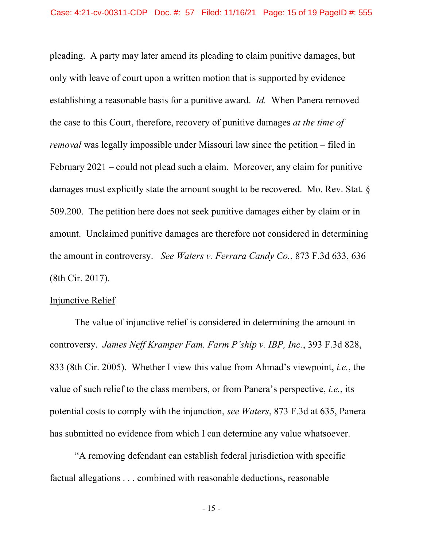pleading. A party may later amend its pleading to claim punitive damages, but only with leave of court upon a written motion that is supported by evidence establishing a reasonable basis for a punitive award. *Id.* When Panera removed the case to this Court, therefore, recovery of punitive damages *at the time of removal* was legally impossible under Missouri law since the petition – filed in February 2021 – could not plead such a claim. Moreover, any claim for punitive damages must explicitly state the amount sought to be recovered. Mo. Rev. Stat. § 509.200. The petition here does not seek punitive damages either by claim or in amount. Unclaimed punitive damages are therefore not considered in determining the amount in controversy. *See Waters v. Ferrara Candy Co.*, 873 F.3d 633, 636 (8th Cir. 2017).

### Injunctive Relief

 The value of injunctive relief is considered in determining the amount in controversy. *James Neff Kramper Fam. Farm P'ship v. IBP, Inc.*, 393 F.3d 828, 833 (8th Cir. 2005). Whether I view this value from Ahmad's viewpoint, *i.e.*, the value of such relief to the class members, or from Panera's perspective, *i.e.*, its potential costs to comply with the injunction, *see Waters*, 873 F.3d at 635, Panera has submitted no evidence from which I can determine any value whatsoever.

 "A removing defendant can establish federal jurisdiction with specific factual allegations . . . combined with reasonable deductions, reasonable

- 15 -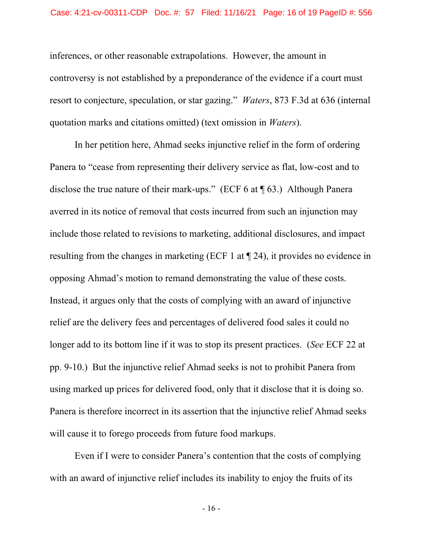inferences, or other reasonable extrapolations. However, the amount in controversy is not established by a preponderance of the evidence if a court must resort to conjecture, speculation, or star gazing." *Waters*, 873 F.3d at 636 (internal quotation marks and citations omitted) (text omission in *Waters*).

In her petition here, Ahmad seeks injunctive relief in the form of ordering Panera to "cease from representing their delivery service as flat, low-cost and to disclose the true nature of their mark-ups." (ECF 6 at ¶ 63.) Although Panera averred in its notice of removal that costs incurred from such an injunction may include those related to revisions to marketing, additional disclosures, and impact resulting from the changes in marketing (ECF 1 at ¶ 24), it provides no evidence in opposing Ahmad's motion to remand demonstrating the value of these costs. Instead, it argues only that the costs of complying with an award of injunctive relief are the delivery fees and percentages of delivered food sales it could no longer add to its bottom line if it was to stop its present practices. (*See* ECF 22 at pp. 9-10.) But the injunctive relief Ahmad seeks is not to prohibit Panera from using marked up prices for delivered food, only that it disclose that it is doing so. Panera is therefore incorrect in its assertion that the injunctive relief Ahmad seeks will cause it to forego proceeds from future food markups.

Even if I were to consider Panera's contention that the costs of complying with an award of injunctive relief includes its inability to enjoy the fruits of its

- 16 -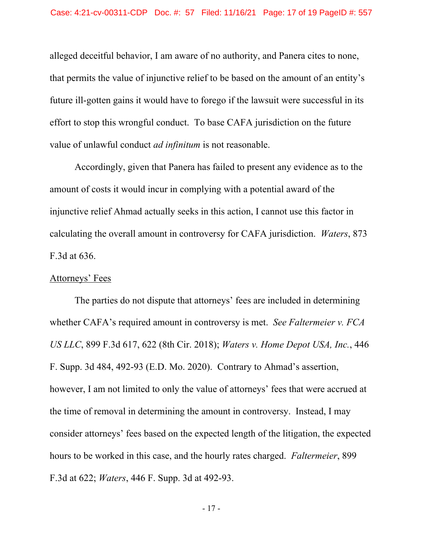alleged deceitful behavior, I am aware of no authority, and Panera cites to none, that permits the value of injunctive relief to be based on the amount of an entity's future ill-gotten gains it would have to forego if the lawsuit were successful in its effort to stop this wrongful conduct. To base CAFA jurisdiction on the future value of unlawful conduct *ad infinitum* is not reasonable.

 Accordingly, given that Panera has failed to present any evidence as to the amount of costs it would incur in complying with a potential award of the injunctive relief Ahmad actually seeks in this action, I cannot use this factor in calculating the overall amount in controversy for CAFA jurisdiction. *Waters*, 873 F.3d at 636.

## Attorneys' Fees

 The parties do not dispute that attorneys' fees are included in determining whether CAFA's required amount in controversy is met. *See Faltermeier v. FCA US LLC*, 899 F.3d 617, 622 (8th Cir. 2018); *Waters v. Home Depot USA, Inc.*, 446 F. Supp. 3d 484, 492-93 (E.D. Mo. 2020). Contrary to Ahmad's assertion, however, I am not limited to only the value of attorneys' fees that were accrued at the time of removal in determining the amount in controversy. Instead, I may consider attorneys' fees based on the expected length of the litigation, the expected hours to be worked in this case, and the hourly rates charged. *Faltermeier*, 899 F.3d at 622; *Waters*, 446 F. Supp. 3d at 492-93.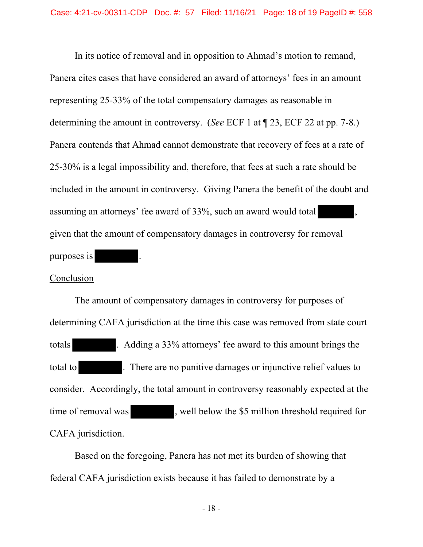In its notice of removal and in opposition to Ahmad's motion to remand, Panera cites cases that have considered an award of attorneys' fees in an amount representing 25-33% of the total compensatory damages as reasonable in determining the amount in controversy. (*See* ECF 1 at ¶ 23, ECF 22 at pp. 7-8.) Panera contends that Ahmad cannot demonstrate that recovery of fees at a rate of 25-30% is a legal impossibility and, therefore, that fees at such a rate should be included in the amount in controversy. Giving Panera the benefit of the doubt and assuming an attorneys' fee award of 33%, such an award would total given that the amount of compensatory damages in controversy for removal purposes is

## **Conclusion**

 The amount of compensatory damages in controversy for purposes of determining CAFA jurisdiction at the time this case was removed from state court totals . Adding a 33% attorneys' fee award to this amount brings the total to **.** There are no punitive damages or injunctive relief values to consider. Accordingly, the total amount in controversy reasonably expected at the time of removal was , well below the \$5 million threshold required for CAFA jurisdiction.

 Based on the foregoing, Panera has not met its burden of showing that federal CAFA jurisdiction exists because it has failed to demonstrate by a